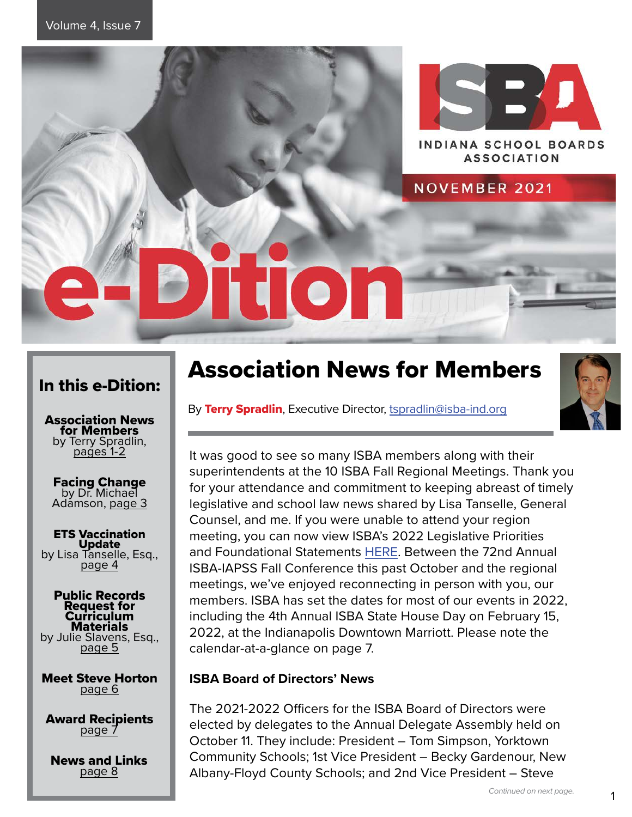

## In this e-Dition:

Association News for Members by Terry Spradlin,<br>pages 1-2

Facing Change by Dr. Michael Adámson, page 3

**ETS Vaccination<br>Update** by Lisa Tanselle, Esq.,<br>page 4

#### Public Records Request for Curriculum Materials by Julie Slavens, Esq.,<br>page 5

Meet Steve Horton page 6

**Award Recipients** 

News and Links page 8

# Association News for Members

By Terry Spradlin, Executive Director, [tspradlin@isba-ind.org](mailto:tspradlin%40isba-ind.org?subject=)



It was good to see so many ISBA members along with their superintendents at the 10 ISBA Fall Regional Meetings. Thank you for your attendance and commitment to keeping abreast of timely legislative and school law news shared by Lisa Tanselle, General Counsel, and me. If you were unable to attend your region meeting, you can now view ISBA's 2022 Legislative Priorities and Foundational Statements [HERE.](https://www.isba-ind.org/legislative-priorities-and-foundational-statements.html) Between the 72nd Annual ISBA-IAPSS Fall Conference this past October and the regional meetings, we've enjoyed reconnecting in person with you, our members. ISBA has set the dates for most of our events in 2022, including the 4th Annual ISBA State House Day on February 15, 2022, at the Indianapolis Downtown Marriott. Please note the calendar-at-a-glance on page 7.

## **ISBA Board of Directors' News**

The 2021-2022 Officers for the ISBA Board of Directors were elected by delegates to the Annual Delegate Assembly held on October 11. They include: President – Tom Simpson, Yorktown Community Schools; 1st Vice President – Becky Gardenour, New Albany-Floyd County Schools; and 2nd Vice President – Steve